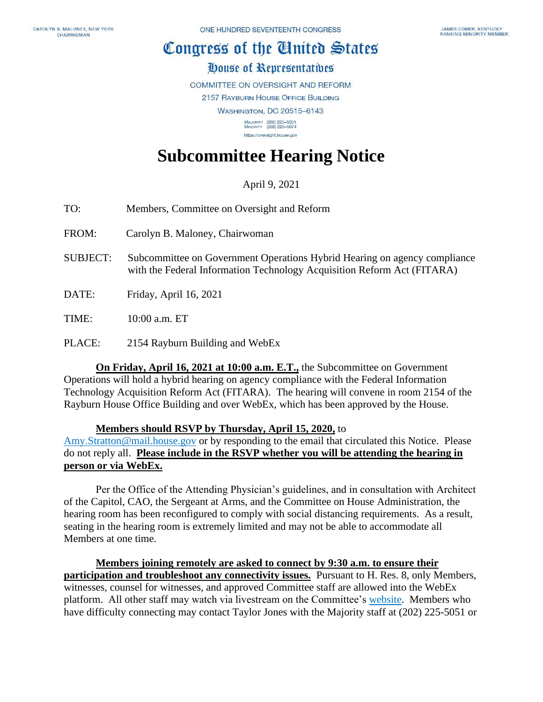## Congress of the Ginited States

### House of Representatives

**COMMITTEE ON OVERSIGHT AND REFORM** 

2157 RAYBURN HOUSE OFFICE BUILDING

**WASHINGTON, DC 20515-6143** 

MAJORITY (202) 225-5051<br>MINORITY (202) 225-5074 https://oversight.house.gov

# **Subcommittee Hearing Notice**

### April 9, 2021

- TO: Members, Committee on Oversight and Reform
- FROM: Carolyn B. Maloney, Chairwoman
- SUBJECT: Subcommittee on Government Operations Hybrid Hearing on agency compliance with the Federal Information Technology Acquisition Reform Act (FITARA)
- DATE: Friday, April 16, 2021

TIME: 10:00 a.m. ET

PLACE: 2154 Rayburn Building and WebEx

**On Friday, April 16, 2021 at 10:00 a.m. E.T.,** the Subcommittee on Government Operations will hold a hybrid hearing on agency compliance with the Federal Information Technology Acquisition Reform Act (FITARA). The hearing will convene in room 2154 of the Rayburn House Office Building and over WebEx, which has been approved by the House.

#### **Members should RSVP by Thursday, April 15, 2020,** to

[Amy.Stratton@mail.house.gov](mailto:Amy.Stratton@mail.house.gov) or by responding to the email that circulated this Notice. Please do not reply all. **Please include in the RSVP whether you will be attending the hearing in person or via WebEx.** 

Per the Office of the Attending Physician's guidelines, and in consultation with Architect of the Capitol, CAO, the Sergeant at Arms, and the Committee on House Administration, the hearing room has been reconfigured to comply with social distancing requirements. As a result, seating in the hearing room is extremely limited and may not be able to accommodate all Members at one time.

**Members joining remotely are asked to connect by 9:30 a.m. to ensure their participation and troubleshoot any connectivity issues.** Pursuant to H. Res. 8, only Members, witnesses, counsel for witnesses, and approved Committee staff are allowed into the WebEx platform. All other staff may watch via livestream on the Committee's [website.](https://oversight.house.gov/legislation/hearings) Members who have difficulty connecting may contact Taylor Jones with the Majority staff at (202) 225-5051 or